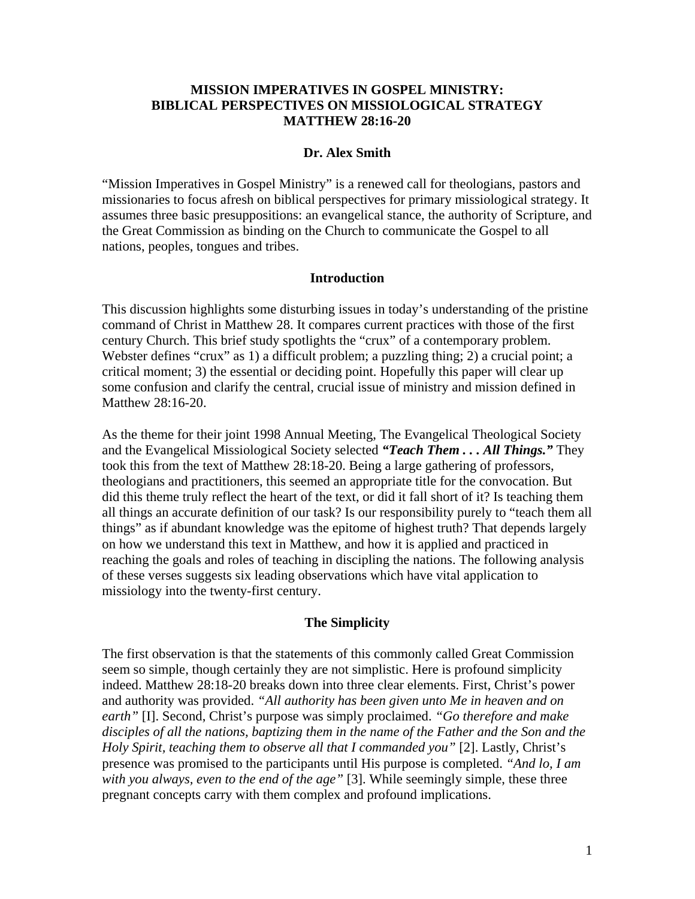# **MISSION IMPERATIVES IN GOSPEL MINISTRY: BIBLICAL PERSPECTIVES ON MISSIOLOGICAL STRATEGY MATTHEW 28:16-20**

#### **Dr. Alex Smith**

"Mission Imperatives in Gospel Ministry" is a renewed call for theologians, pastors and missionaries to focus afresh on biblical perspectives for primary missiological strategy. It assumes three basic presuppositions: an evangelical stance, the authority of Scripture, and the Great Commission as binding on the Church to communicate the Gospel to all nations, peoples, tongues and tribes.

#### **Introduction**

This discussion highlights some disturbing issues in today's understanding of the pristine command of Christ in Matthew 28. It compares current practices with those of the first century Church. This brief study spotlights the "crux" of a contemporary problem. Webster defines "crux" as 1) a difficult problem; a puzzling thing; 2) a crucial point; a critical moment; 3) the essential or deciding point. Hopefully this paper will clear up some confusion and clarify the central, crucial issue of ministry and mission defined in Matthew 28:16-20.

As the theme for their joint 1998 Annual Meeting, The Evangelical Theological Society and the Evangelical Missiological Society selected *"Teach Them . . . All Things."* They took this from the text of Matthew 28:18-20. Being a large gathering of professors, theologians and practitioners, this seemed an appropriate title for the convocation. But did this theme truly reflect the heart of the text, or did it fall short of it? Is teaching them all things an accurate definition of our task? Is our responsibility purely to "teach them all things" as if abundant knowledge was the epitome of highest truth? That depends largely on how we understand this text in Matthew, and how it is applied and practiced in reaching the goals and roles of teaching in discipling the nations. The following analysis of these verses suggests six leading observations which have vital application to missiology into the twenty-first century.

## **The Simplicity**

The first observation is that the statements of this commonly called Great Commission seem so simple, though certainly they are not simplistic. Here is profound simplicity indeed. Matthew 28:18-20 breaks down into three clear elements. First, Christ's power and authority was provided. *"All authority has been given unto Me in heaven and on earth"* [I]. Second, Christ's purpose was simply proclaimed. *"Go therefore and make disciples of all the nations, baptizing them in the name of the Father and the Son and the Holy Spirit, teaching them to observe all that I commanded you"* [2]. Lastly, Christ's presence was promised to the participants until His purpose is completed. *"And lo, I am with you always, even to the end of the age"* [3]. While seemingly simple, these three pregnant concepts carry with them complex and profound implications.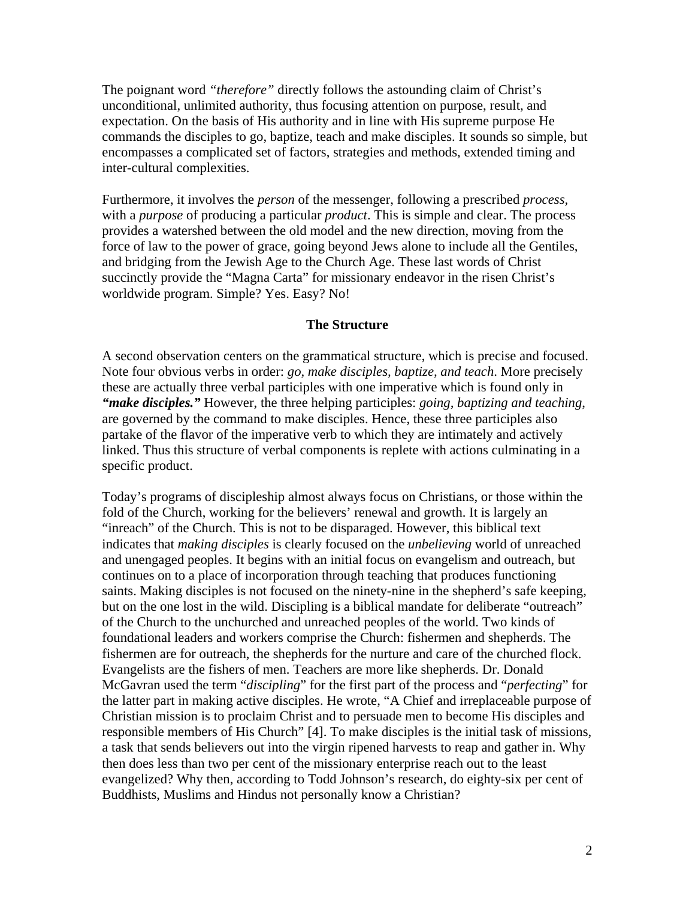The poignant word *"therefore"* directly follows the astounding claim of Christ's unconditional, unlimited authority, thus focusing attention on purpose, result, and expectation. On the basis of His authority and in line with His supreme purpose He commands the disciples to go, baptize, teach and make disciples. It sounds so simple, but encompasses a complicated set of factors, strategies and methods, extended timing and inter-cultural complexities.

Furthermore, it involves the *person* of the messenger, following a prescribed *process,* with a *purpose* of producing a particular *product*. This is simple and clear. The process provides a watershed between the old model and the new direction, moving from the force of law to the power of grace, going beyond Jews alone to include all the Gentiles, and bridging from the Jewish Age to the Church Age. These last words of Christ succinctly provide the "Magna Carta" for missionary endeavor in the risen Christ's worldwide program. Simple? Yes. Easy? No!

## **The Structure**

A second observation centers on the grammatical structure, which is precise and focused. Note four obvious verbs in order: *go, make disciples, baptize, and teach*. More precisely these are actually three verbal participles with one imperative which is found only in *"make disciples."* However, the three helping participles: *going, baptizing and teaching*, are governed by the command to make disciples. Hence, these three participles also partake of the flavor of the imperative verb to which they are intimately and actively linked. Thus this structure of verbal components is replete with actions culminating in a specific product.

Today's programs of discipleship almost always focus on Christians, or those within the fold of the Church, working for the believers' renewal and growth. It is largely an "inreach" of the Church. This is not to be disparaged. However, this biblical text indicates that *making disciples* is clearly focused on the *unbelieving* world of unreached and unengaged peoples. It begins with an initial focus on evangelism and outreach, but continues on to a place of incorporation through teaching that produces functioning saints. Making disciples is not focused on the ninety-nine in the shepherd's safe keeping, but on the one lost in the wild. Discipling is a biblical mandate for deliberate "outreach" of the Church to the unchurched and unreached peoples of the world. Two kinds of foundational leaders and workers comprise the Church: fishermen and shepherds. The fishermen are for outreach, the shepherds for the nurture and care of the churched flock. Evangelists are the fishers of men. Teachers are more like shepherds. Dr. Donald McGavran used the term "*discipling*" for the first part of the process and "*perfecting*" for the latter part in making active disciples. He wrote, "A Chief and irreplaceable purpose of Christian mission is to proclaim Christ and to persuade men to become His disciples and responsible members of His Church" [4]. To make disciples is the initial task of missions, a task that sends believers out into the virgin ripened harvests to reap and gather in. Why then does less than two per cent of the missionary enterprise reach out to the least evangelized? Why then, according to Todd Johnson's research, do eighty-six per cent of Buddhists, Muslims and Hindus not personally know a Christian?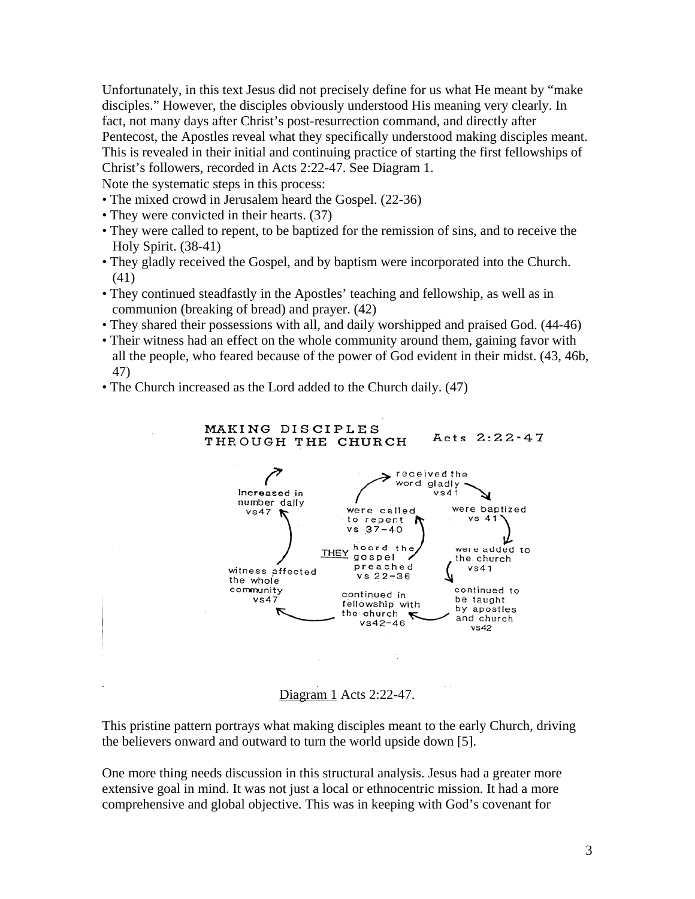Unfortunately, in this text Jesus did not precisely define for us what He meant by "make disciples." However, the disciples obviously understood His meaning very clearly. In fact, not many days after Christ's post-resurrection command, and directly after Pentecost, the Apostles reveal what they specifically understood making disciples meant. This is revealed in their initial and continuing practice of starting the first fellowships of Christ's followers, recorded in Acts 2:22-47. See Diagram 1.

Note the systematic steps in this process:

- The mixed crowd in Jerusalem heard the Gospel. (22-36)
- They were convicted in their hearts. (37)
- They were called to repent, to be baptized for the remission of sins, and to receive the Holy Spirit. (38-41)
- They gladly received the Gospel, and by baptism were incorporated into the Church. (41)
- They continued steadfastly in the Apostles' teaching and fellowship, as well as in communion (breaking of bread) and prayer. (42)
- They shared their possessions with all, and daily worshipped and praised God. (44-46)
- Their witness had an effect on the whole community around them, gaining favor with all the people, who feared because of the power of God evident in their midst. (43, 46b, 47)
- The Church increased as the Lord added to the Church daily. (47)

MAKING DISCIPLES



Diagram 1 Acts 2:22-47.

This pristine pattern portrays what making disciples meant to the early Church, driving the believers onward and outward to turn the world upside down [5].

One more thing needs discussion in this structural analysis. Jesus had a greater more extensive goal in mind. It was not just a local or ethnocentric mission. It had a more comprehensive and global objective. This was in keeping with God's covenant for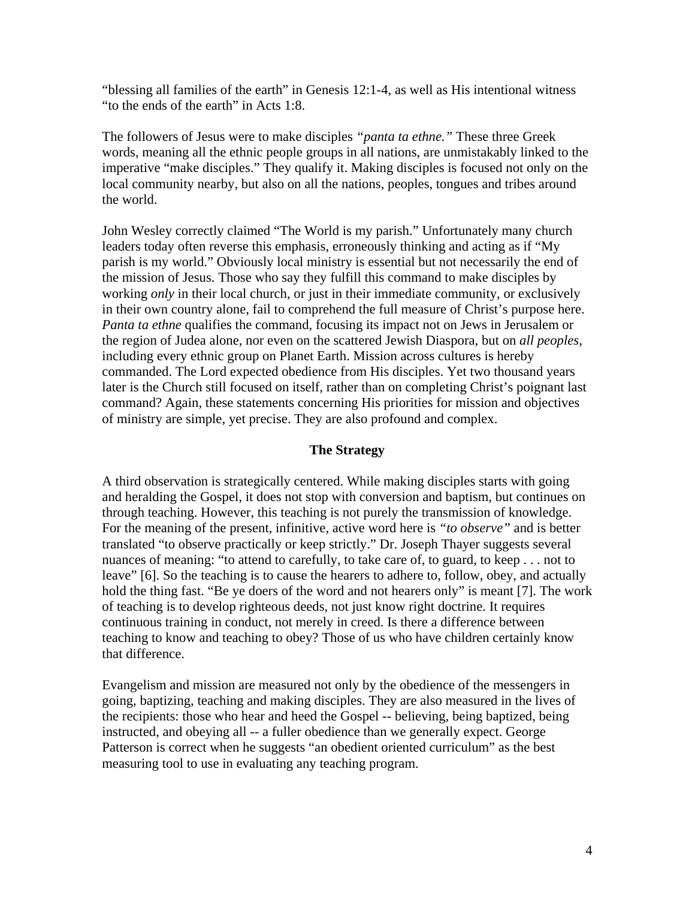"blessing all families of the earth" in Genesis 12:1-4, as well as His intentional witness "to the ends of the earth" in Acts 1:8.

The followers of Jesus were to make disciples *"panta ta ethne."* These three Greek words, meaning all the ethnic people groups in all nations, are unmistakably linked to the imperative "make disciples." They qualify it. Making disciples is focused not only on the local community nearby, but also on all the nations, peoples, tongues and tribes around the world.

John Wesley correctly claimed "The World is my parish." Unfortunately many church leaders today often reverse this emphasis, erroneously thinking and acting as if "My parish is my world." Obviously local ministry is essential but not necessarily the end of the mission of Jesus. Those who say they fulfill this command to make disciples by working *only* in their local church, or just in their immediate community, or exclusively in their own country alone, fail to comprehend the full measure of Christ's purpose here. *Panta ta ethne* qualifies the command, focusing its impact not on Jews in Jerusalem or the region of Judea alone, nor even on the scattered Jewish Diaspora, but on *all peoples*, including every ethnic group on Planet Earth. Mission across cultures is hereby commanded. The Lord expected obedience from His disciples. Yet two thousand years later is the Church still focused on itself, rather than on completing Christ's poignant last command? Again, these statements concerning His priorities for mission and objectives of ministry are simple, yet precise. They are also profound and complex.

# **The Strategy**

A third observation is strategically centered. While making disciples starts with going and heralding the Gospel, it does not stop with conversion and baptism, but continues on through teaching. However, this teaching is not purely the transmission of knowledge. For the meaning of the present, infinitive, active word here is *"to observe"* and is better translated "to observe practically or keep strictly." Dr. Joseph Thayer suggests several nuances of meaning: "to attend to carefully, to take care of, to guard, to keep . . . not to leave" [6]. So the teaching is to cause the hearers to adhere to, follow, obey, and actually hold the thing fast. "Be ye doers of the word and not hearers only" is meant [7]. The work of teaching is to develop righteous deeds, not just know right doctrine. It requires continuous training in conduct, not merely in creed. Is there a difference between teaching to know and teaching to obey? Those of us who have children certainly know that difference.

Evangelism and mission are measured not only by the obedience of the messengers in going, baptizing, teaching and making disciples. They are also measured in the lives of the recipients: those who hear and heed the Gospel -- believing, being baptized, being instructed, and obeying all -- a fuller obedience than we generally expect. George Patterson is correct when he suggests "an obedient oriented curriculum" as the best measuring tool to use in evaluating any teaching program.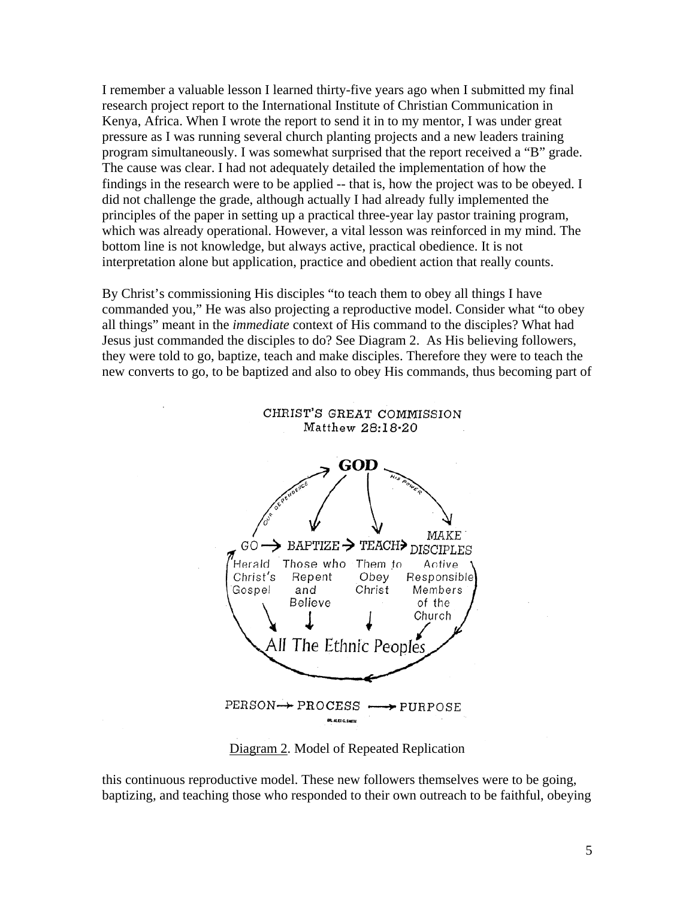I remember a valuable lesson I learned thirty-five years ago when I submitted my final research project report to the International Institute of Christian Communication in Kenya, Africa. When I wrote the report to send it in to my mentor, I was under great pressure as I was running several church planting projects and a new leaders training program simultaneously. I was somewhat surprised that the report received a "B" grade. The cause was clear. I had not adequately detailed the implementation of how the findings in the research were to be applied -- that is, how the project was to be obeyed. I did not challenge the grade, although actually I had already fully implemented the principles of the paper in setting up a practical three-year lay pastor training program, which was already operational. However, a vital lesson was reinforced in my mind. The bottom line is not knowledge, but always active, practical obedience. It is not interpretation alone but application, practice and obedient action that really counts.

By Christ's commissioning His disciples "to teach them to obey all things I have commanded you," He was also projecting a reproductive model. Consider what "to obey all things" meant in the *immediate* context of His command to the disciples? What had Jesus just commanded the disciples to do? See Diagram 2. As His believing followers, they were told to go, baptize, teach and make disciples. Therefore they were to teach the new converts to go, to be baptized and also to obey His commands, thus becoming part of

> CHRIST'S GREAT COMMISSION Matthew 28:18-20



Diagram 2. Model of Repeated Replication

this continuous reproductive model. These new followers themselves were to be going, baptizing, and teaching those who responded to their own outreach to be faithful, obeying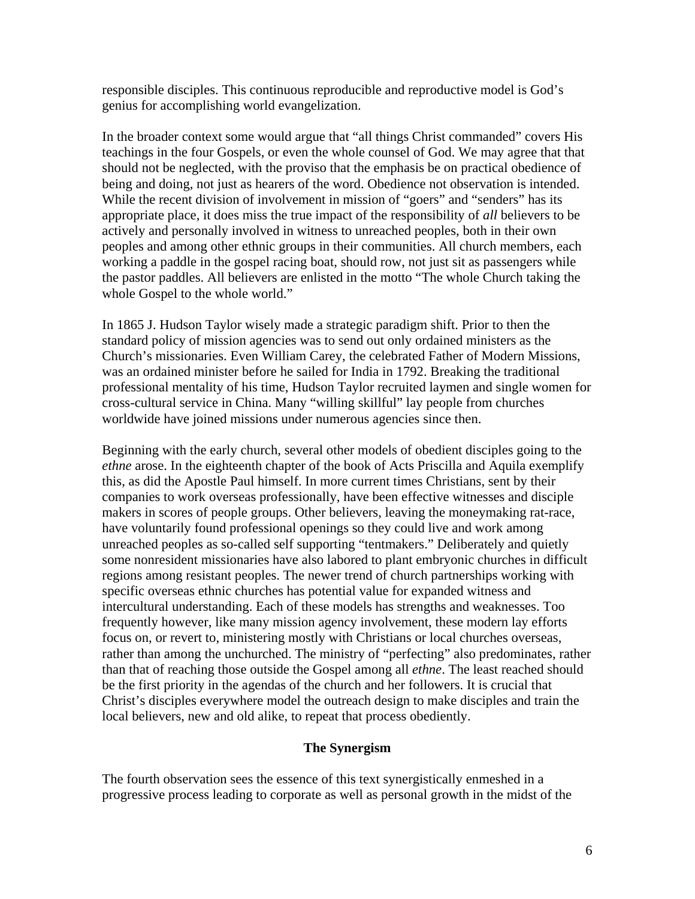responsible disciples. This continuous reproducible and reproductive model is God's genius for accomplishing world evangelization.

In the broader context some would argue that "all things Christ commanded" covers His teachings in the four Gospels, or even the whole counsel of God. We may agree that that should not be neglected, with the proviso that the emphasis be on practical obedience of being and doing, not just as hearers of the word. Obedience not observation is intended. While the recent division of involvement in mission of "goers" and "senders" has its appropriate place, it does miss the true impact of the responsibility of *all* believers to be actively and personally involved in witness to unreached peoples, both in their own peoples and among other ethnic groups in their communities. All church members, each working a paddle in the gospel racing boat, should row, not just sit as passengers while the pastor paddles. All believers are enlisted in the motto "The whole Church taking the whole Gospel to the whole world."

In 1865 J. Hudson Taylor wisely made a strategic paradigm shift. Prior to then the standard policy of mission agencies was to send out only ordained ministers as the Church's missionaries. Even William Carey, the celebrated Father of Modern Missions, was an ordained minister before he sailed for India in 1792. Breaking the traditional professional mentality of his time, Hudson Taylor recruited laymen and single women for cross-cultural service in China. Many "willing skillful" lay people from churches worldwide have joined missions under numerous agencies since then.

Beginning with the early church, several other models of obedient disciples going to the *ethne* arose. In the eighteenth chapter of the book of Acts Priscilla and Aquila exemplify this, as did the Apostle Paul himself. In more current times Christians, sent by their companies to work overseas professionally, have been effective witnesses and disciple makers in scores of people groups. Other believers, leaving the moneymaking rat-race, have voluntarily found professional openings so they could live and work among unreached peoples as so-called self supporting "tentmakers." Deliberately and quietly some nonresident missionaries have also labored to plant embryonic churches in difficult regions among resistant peoples. The newer trend of church partnerships working with specific overseas ethnic churches has potential value for expanded witness and intercultural understanding. Each of these models has strengths and weaknesses. Too frequently however, like many mission agency involvement, these modern lay efforts focus on, or revert to, ministering mostly with Christians or local churches overseas, rather than among the unchurched. The ministry of "perfecting" also predominates, rather than that of reaching those outside the Gospel among all *ethne*. The least reached should be the first priority in the agendas of the church and her followers. It is crucial that Christ's disciples everywhere model the outreach design to make disciples and train the local believers, new and old alike, to repeat that process obediently.

## **The Synergism**

The fourth observation sees the essence of this text synergistically enmeshed in a progressive process leading to corporate as well as personal growth in the midst of the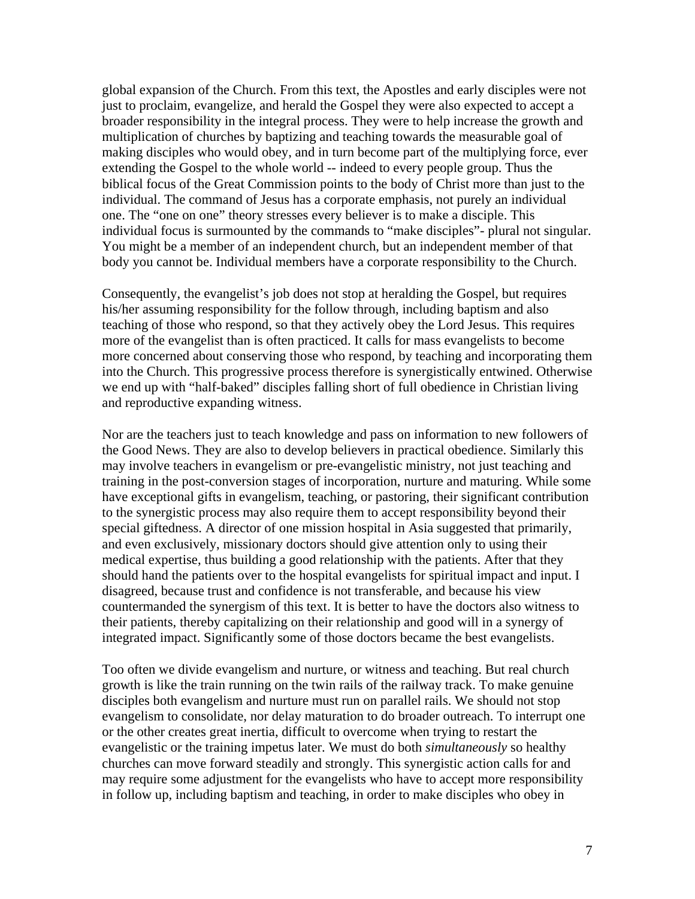global expansion of the Church. From this text, the Apostles and early disciples were not just to proclaim, evangelize, and herald the Gospel they were also expected to accept a broader responsibility in the integral process. They were to help increase the growth and multiplication of churches by baptizing and teaching towards the measurable goal of making disciples who would obey, and in turn become part of the multiplying force, ever extending the Gospel to the whole world -- indeed to every people group. Thus the biblical focus of the Great Commission points to the body of Christ more than just to the individual. The command of Jesus has a corporate emphasis, not purely an individual one. The "one on one" theory stresses every believer is to make a disciple. This individual focus is surmounted by the commands to "make disciples"- plural not singular. You might be a member of an independent church, but an independent member of that body you cannot be. Individual members have a corporate responsibility to the Church.

Consequently, the evangelist's job does not stop at heralding the Gospel, but requires his/her assuming responsibility for the follow through, including baptism and also teaching of those who respond, so that they actively obey the Lord Jesus. This requires more of the evangelist than is often practiced. It calls for mass evangelists to become more concerned about conserving those who respond, by teaching and incorporating them into the Church. This progressive process therefore is synergistically entwined. Otherwise we end up with "half-baked" disciples falling short of full obedience in Christian living and reproductive expanding witness.

Nor are the teachers just to teach knowledge and pass on information to new followers of the Good News. They are also to develop believers in practical obedience. Similarly this may involve teachers in evangelism or pre-evangelistic ministry, not just teaching and training in the post-conversion stages of incorporation, nurture and maturing. While some have exceptional gifts in evangelism, teaching, or pastoring, their significant contribution to the synergistic process may also require them to accept responsibility beyond their special giftedness. A director of one mission hospital in Asia suggested that primarily, and even exclusively, missionary doctors should give attention only to using their medical expertise, thus building a good relationship with the patients. After that they should hand the patients over to the hospital evangelists for spiritual impact and input. I disagreed, because trust and confidence is not transferable, and because his view countermanded the synergism of this text. It is better to have the doctors also witness to their patients, thereby capitalizing on their relationship and good will in a synergy of integrated impact. Significantly some of those doctors became the best evangelists.

Too often we divide evangelism and nurture, or witness and teaching. But real church growth is like the train running on the twin rails of the railway track. To make genuine disciples both evangelism and nurture must run on parallel rails. We should not stop evangelism to consolidate, nor delay maturation to do broader outreach. To interrupt one or the other creates great inertia, difficult to overcome when trying to restart the evangelistic or the training impetus later. We must do both *simultaneously* so healthy churches can move forward steadily and strongly. This synergistic action calls for and may require some adjustment for the evangelists who have to accept more responsibility in follow up, including baptism and teaching, in order to make disciples who obey in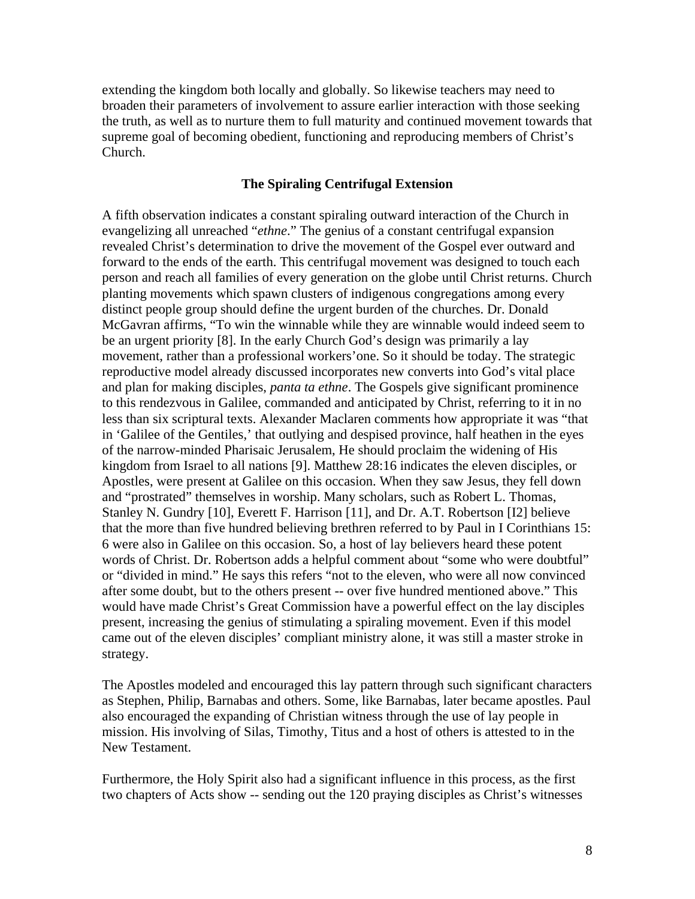extending the kingdom both locally and globally. So likewise teachers may need to broaden their parameters of involvement to assure earlier interaction with those seeking the truth, as well as to nurture them to full maturity and continued movement towards that supreme goal of becoming obedient, functioning and reproducing members of Christ's Church.

## **The Spiraling Centrifugal Extension**

A fifth observation indicates a constant spiraling outward interaction of the Church in evangelizing all unreached "*ethne*." The genius of a constant centrifugal expansion revealed Christ's determination to drive the movement of the Gospel ever outward and forward to the ends of the earth. This centrifugal movement was designed to touch each person and reach all families of every generation on the globe until Christ returns. Church planting movements which spawn clusters of indigenous congregations among every distinct people group should define the urgent burden of the churches. Dr. Donald McGavran affirms, "To win the winnable while they are winnable would indeed seem to be an urgent priority [8]. In the early Church God's design was primarily a lay movement, rather than a professional workers'one. So it should be today. The strategic reproductive model already discussed incorporates new converts into God's vital place and plan for making disciples, *panta ta ethne*. The Gospels give significant prominence to this rendezvous in Galilee, commanded and anticipated by Christ, referring to it in no less than six scriptural texts. Alexander Maclaren comments how appropriate it was "that in 'Galilee of the Gentiles,' that outlying and despised province, half heathen in the eyes of the narrow-minded Pharisaic Jerusalem, He should proclaim the widening of His kingdom from Israel to all nations [9]. Matthew 28:16 indicates the eleven disciples, or Apostles, were present at Galilee on this occasion. When they saw Jesus, they fell down and "prostrated" themselves in worship. Many scholars, such as Robert L. Thomas, Stanley N. Gundry [10], Everett F. Harrison [11], and Dr. A.T. Robertson [I2] believe that the more than five hundred believing brethren referred to by Paul in I Corinthians 15: 6 were also in Galilee on this occasion. So, a host of lay believers heard these potent words of Christ. Dr. Robertson adds a helpful comment about "some who were doubtful" or "divided in mind." He says this refers "not to the eleven, who were all now convinced after some doubt, but to the others present -- over five hundred mentioned above." This would have made Christ's Great Commission have a powerful effect on the lay disciples present, increasing the genius of stimulating a spiraling movement. Even if this model came out of the eleven disciples' compliant ministry alone, it was still a master stroke in strategy.

The Apostles modeled and encouraged this lay pattern through such significant characters as Stephen, Philip, Barnabas and others. Some, like Barnabas, later became apostles. Paul also encouraged the expanding of Christian witness through the use of lay people in mission. His involving of Silas, Timothy, Titus and a host of others is attested to in the New Testament.

Furthermore, the Holy Spirit also had a significant influence in this process, as the first two chapters of Acts show -- sending out the 120 praying disciples as Christ's witnesses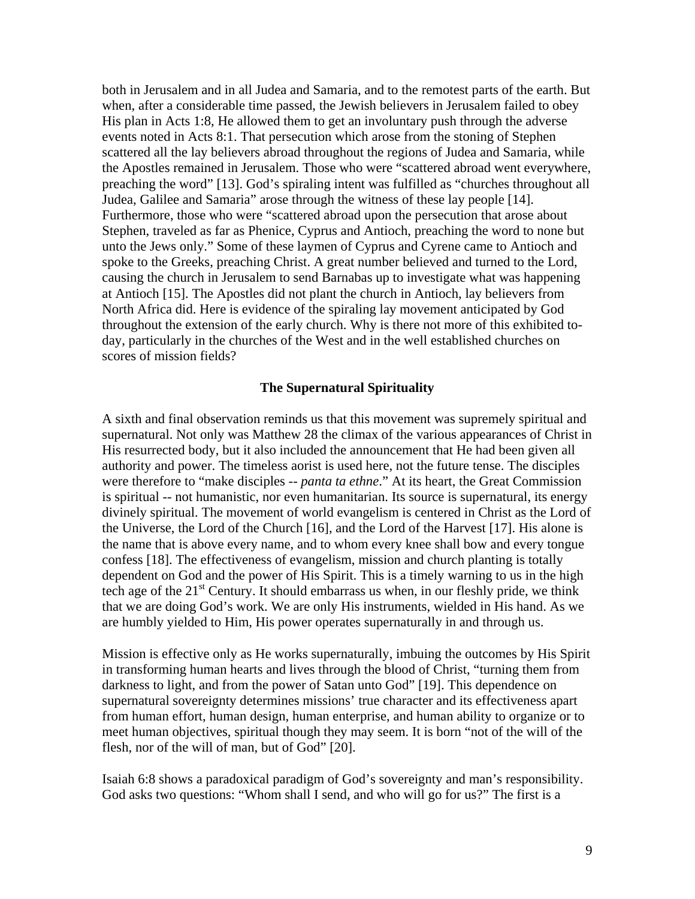both in Jerusalem and in all Judea and Samaria, and to the remotest parts of the earth. But when, after a considerable time passed, the Jewish believers in Jerusalem failed to obey His plan in Acts 1:8, He allowed them to get an involuntary push through the adverse events noted in Acts 8:1. That persecution which arose from the stoning of Stephen scattered all the lay believers abroad throughout the regions of Judea and Samaria, while the Apostles remained in Jerusalem. Those who were "scattered abroad went everywhere, preaching the word" [13]. God's spiraling intent was fulfilled as "churches throughout all Judea, Galilee and Samaria" arose through the witness of these lay people [14]. Furthermore, those who were "scattered abroad upon the persecution that arose about Stephen, traveled as far as Phenice, Cyprus and Antioch, preaching the word to none but unto the Jews only." Some of these laymen of Cyprus and Cyrene came to Antioch and spoke to the Greeks, preaching Christ. A great number believed and turned to the Lord, causing the church in Jerusalem to send Barnabas up to investigate what was happening at Antioch [15]. The Apostles did not plant the church in Antioch, lay believers from North Africa did. Here is evidence of the spiraling lay movement anticipated by God throughout the extension of the early church. Why is there not more of this exhibited today, particularly in the churches of the West and in the well established churches on scores of mission fields?

## **The Supernatural Spirituality**

A sixth and final observation reminds us that this movement was supremely spiritual and supernatural. Not only was Matthew 28 the climax of the various appearances of Christ in His resurrected body, but it also included the announcement that He had been given all authority and power. The timeless aorist is used here, not the future tense. The disciples were therefore to "make disciples -- *panta ta ethne*." At its heart, the Great Commission is spiritual -- not humanistic, nor even humanitarian. Its source is supernatural, its energy divinely spiritual. The movement of world evangelism is centered in Christ as the Lord of the Universe, the Lord of the Church [16], and the Lord of the Harvest [17]. His alone is the name that is above every name, and to whom every knee shall bow and every tongue confess [18]. The effectiveness of evangelism, mission and church planting is totally dependent on God and the power of His Spirit. This is a timely warning to us in the high tech age of the  $21<sup>st</sup>$  Century. It should embarrass us when, in our fleshly pride, we think that we are doing God's work. We are only His instruments, wielded in His hand. As we are humbly yielded to Him, His power operates supernaturally in and through us.

Mission is effective only as He works supernaturally, imbuing the outcomes by His Spirit in transforming human hearts and lives through the blood of Christ, "turning them from darkness to light, and from the power of Satan unto God" [19]. This dependence on supernatural sovereignty determines missions' true character and its effectiveness apart from human effort, human design, human enterprise, and human ability to organize or to meet human objectives, spiritual though they may seem. It is born "not of the will of the flesh, nor of the will of man, but of God" [20].

Isaiah 6:8 shows a paradoxical paradigm of God's sovereignty and man's responsibility. God asks two questions: "Whom shall I send, and who will go for us?" The first is a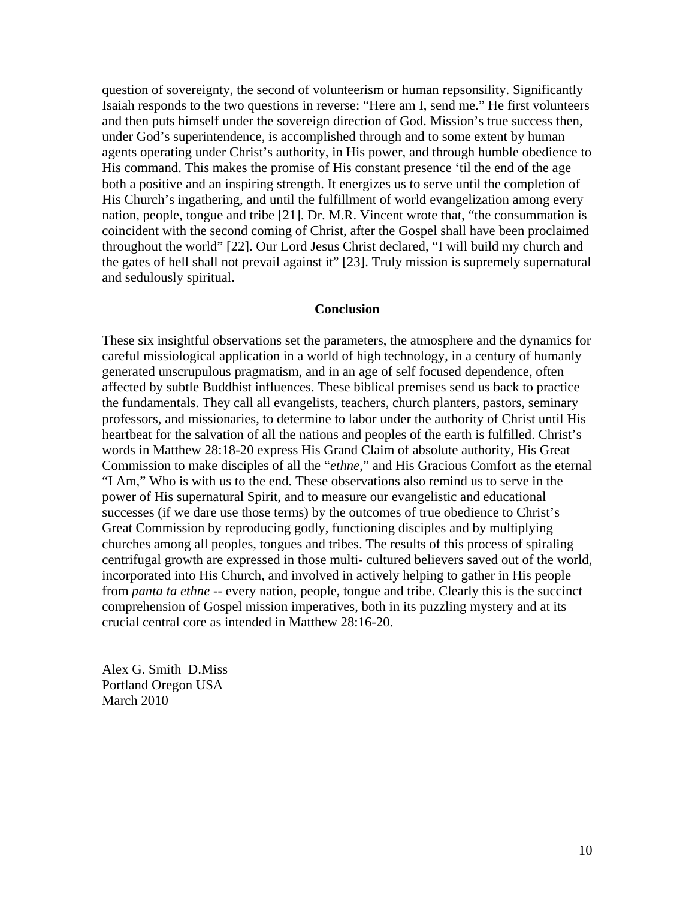question of sovereignty, the second of volunteerism or human repsonsility. Significantly Isaiah responds to the two questions in reverse: "Here am I, send me." He first volunteers and then puts himself under the sovereign direction of God. Mission's true success then, under God's superintendence, is accomplished through and to some extent by human agents operating under Christ's authority, in His power, and through humble obedience to His command. This makes the promise of His constant presence 'til the end of the age both a positive and an inspiring strength. It energizes us to serve until the completion of His Church's ingathering, and until the fulfillment of world evangelization among every nation, people, tongue and tribe [21]. Dr. M.R. Vincent wrote that, "the consummation is coincident with the second coming of Christ, after the Gospel shall have been proclaimed throughout the world" [22]. Our Lord Jesus Christ declared, "I will build my church and the gates of hell shall not prevail against it" [23]. Truly mission is supremely supernatural and sedulously spiritual.

## **Conclusion**

These six insightful observations set the parameters, the atmosphere and the dynamics for careful missiological application in a world of high technology, in a century of humanly generated unscrupulous pragmatism, and in an age of self focused dependence, often affected by subtle Buddhist influences. These biblical premises send us back to practice the fundamentals. They call all evangelists, teachers, church planters, pastors, seminary professors, and missionaries, to determine to labor under the authority of Christ until His heartbeat for the salvation of all the nations and peoples of the earth is fulfilled. Christ's words in Matthew 28:18-20 express His Grand Claim of absolute authority, His Great Commission to make disciples of all the "*ethne*," and His Gracious Comfort as the eternal "I Am," Who is with us to the end. These observations also remind us to serve in the power of His supernatural Spirit, and to measure our evangelistic and educational successes (if we dare use those terms) by the outcomes of true obedience to Christ's Great Commission by reproducing godly, functioning disciples and by multiplying churches among all peoples, tongues and tribes. The results of this process of spiraling centrifugal growth are expressed in those multi- cultured believers saved out of the world, incorporated into His Church, and involved in actively helping to gather in His people from *panta ta ethne* -- every nation, people, tongue and tribe. Clearly this is the succinct comprehension of Gospel mission imperatives, both in its puzzling mystery and at its crucial central core as intended in Matthew 28:16-20.

Alex G. Smith D.Miss Portland Oregon USA March 2010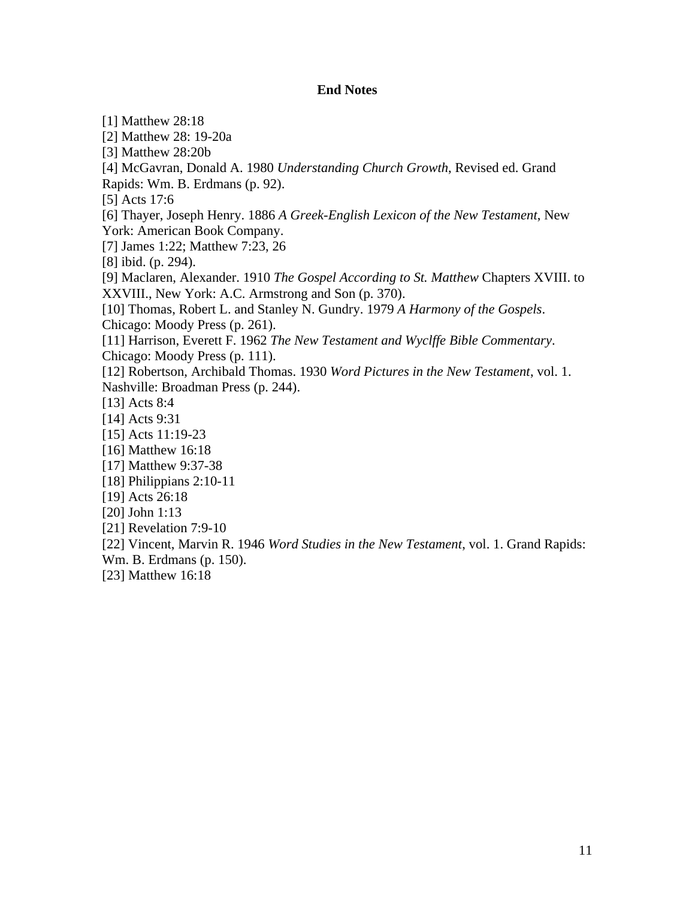## **End Notes**

[1] Matthew 28:18 [2] Matthew 28: 19-20a [3] Matthew 28:20b [4] McGavran, Donald A. 1980 *Understanding Church Growth*, Revised ed. Grand Rapids: Wm. B. Erdmans (p. 92). [5] Acts 17:6 [6] Thayer, Joseph Henry. 1886 *A Greek-English Lexicon of the New Testament*, New York: American Book Company. [7] James 1:22; Matthew 7:23, 26 [8] ibid. (p. 294). [9] Maclaren, Alexander. 1910 *The Gospel According to St. Matthew* Chapters XVIII. to XXVIII., New York: A.C. Armstrong and Son (p. 370). [10] Thomas, Robert L. and Stanley N. Gundry. 1979 *A Harmony of the Gospels*. Chicago: Moody Press (p. 261). [11] Harrison, Everett F. 1962 *The New Testament and Wyclffe Bible Commentary*. Chicago: Moody Press (p. 111). [12] Robertson, Archibald Thomas. 1930 *Word Pictures in the New Testament*, vol. 1. Nashville: Broadman Press (p. 244). [13] Acts 8:4 [14] Acts 9:31 [15] Acts 11:19-23 [16] Matthew 16:18 [17] Matthew 9:37-38 [18] Philippians 2:10-11 [19] Acts 26:18 [20] John 1:13 [21] Revelation 7:9-10 [22] Vincent, Marvin R. 1946 *Word Studies in the New Testament*, vol. 1. Grand Rapids: Wm. B. Erdmans (p. 150). [23] Matthew 16:18